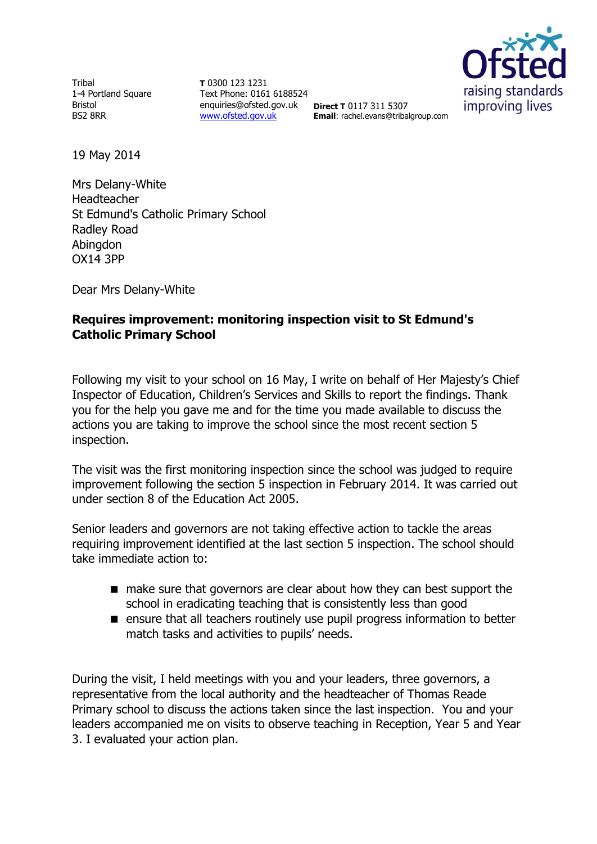Tribal 1-4 Portland Square Bristol BS2 8RR

**T** 0300 123 1231 Text Phone: 0161 6188524 enquiries@ofsted.gov.uk **Direct T** 0117 311 5307 [www.ofsted.gov.uk](http://www.ofsted.gov.uk/)



**Email**: rachel.evans@tribalgroup.com

19 May 2014

Mrs Delany-White Headteacher St Edmund's Catholic Primary School Radley Road Abingdon OX14 3PP

Dear Mrs Delany-White

## **Requires improvement: monitoring inspection visit to St Edmund's Catholic Primary School**

Following my visit to your school on 16 May, I write on behalf of Her Majesty's Chief Inspector of Education, Children's Services and Skills to report the findings. Thank you for the help you gave me and for the time you made available to discuss the actions you are taking to improve the school since the most recent section 5 inspection.

The visit was the first monitoring inspection since the school was judged to require improvement following the section 5 inspection in February 2014. It was carried out under section 8 of the Education Act 2005.

Senior leaders and governors are not taking effective action to tackle the areas requiring improvement identified at the last section 5 inspection. The school should take immediate action to:

- make sure that governors are clear about how they can best support the school in eradicating teaching that is consistently less than good
- **E** ensure that all teachers routinely use pupil progress information to better match tasks and activities to pupils' needs.

During the visit, I held meetings with you and your leaders, three governors, a representative from the local authority and the headteacher of Thomas Reade Primary school to discuss the actions taken since the last inspection. You and your leaders accompanied me on visits to observe teaching in Reception, Year 5 and Year 3. I evaluated your action plan.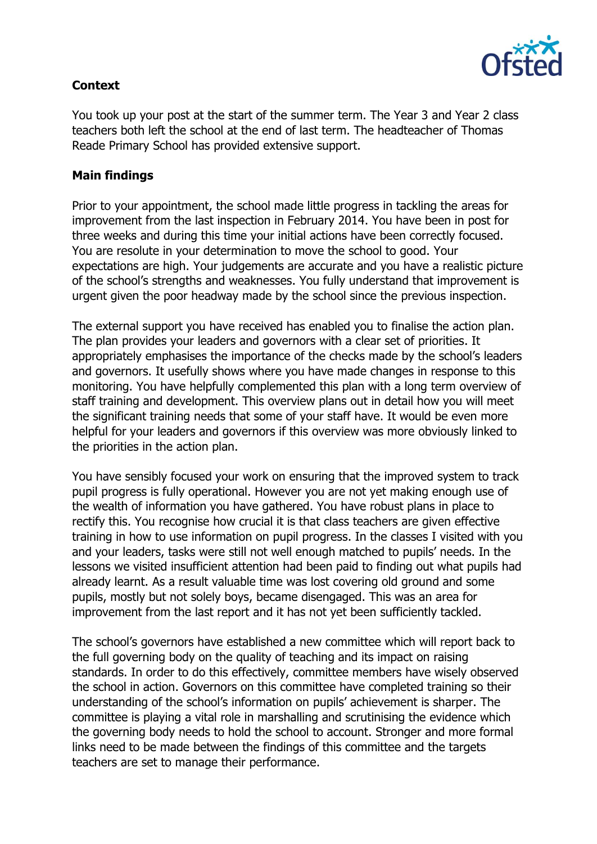

## **Context**

You took up your post at the start of the summer term. The Year 3 and Year 2 class teachers both left the school at the end of last term. The headteacher of Thomas Reade Primary School has provided extensive support.

## **Main findings**

Prior to your appointment, the school made little progress in tackling the areas for improvement from the last inspection in February 2014. You have been in post for three weeks and during this time your initial actions have been correctly focused. You are resolute in your determination to move the school to good. Your expectations are high. Your judgements are accurate and you have a realistic picture of the school's strengths and weaknesses. You fully understand that improvement is urgent given the poor headway made by the school since the previous inspection.

The external support you have received has enabled you to finalise the action plan. The plan provides your leaders and governors with a clear set of priorities. It appropriately emphasises the importance of the checks made by the school's leaders and governors. It usefully shows where you have made changes in response to this monitoring. You have helpfully complemented this plan with a long term overview of staff training and development. This overview plans out in detail how you will meet the significant training needs that some of your staff have. It would be even more helpful for your leaders and governors if this overview was more obviously linked to the priorities in the action plan.

You have sensibly focused your work on ensuring that the improved system to track pupil progress is fully operational. However you are not yet making enough use of the wealth of information you have gathered. You have robust plans in place to rectify this. You recognise how crucial it is that class teachers are given effective training in how to use information on pupil progress. In the classes I visited with you and your leaders, tasks were still not well enough matched to pupils' needs. In the lessons we visited insufficient attention had been paid to finding out what pupils had already learnt. As a result valuable time was lost covering old ground and some pupils, mostly but not solely boys, became disengaged. This was an area for improvement from the last report and it has not yet been sufficiently tackled.

The school's governors have established a new committee which will report back to the full governing body on the quality of teaching and its impact on raising standards. In order to do this effectively, committee members have wisely observed the school in action. Governors on this committee have completed training so their understanding of the school's information on pupils' achievement is sharper. The committee is playing a vital role in marshalling and scrutinising the evidence which the governing body needs to hold the school to account. Stronger and more formal links need to be made between the findings of this committee and the targets teachers are set to manage their performance.